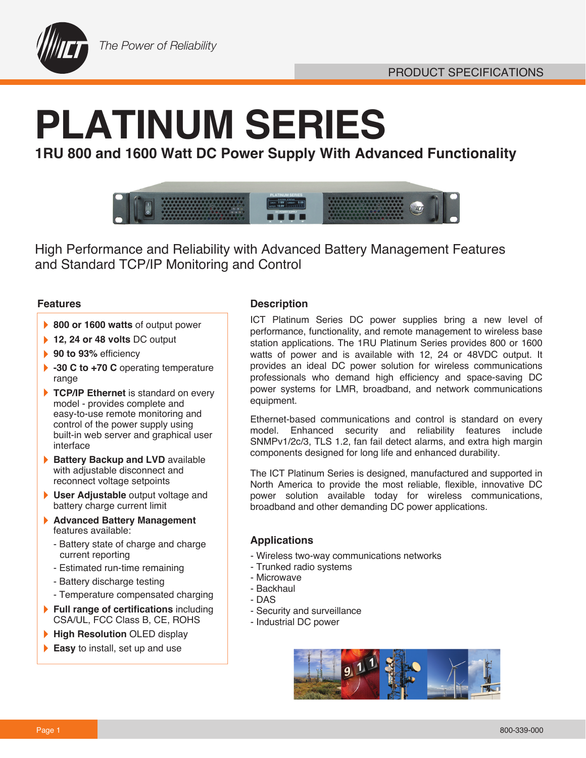

# **PLATINUM SERIES**

**1RU 800 and 1600 Watt DC Power Supply With Advanced Functionality** 



High Performance and Reliability with Advanced Battery Management Features and Standard TCP/IP Monitoring and Control

## **Features**

- ▶ 800 or 1600 watts of output power
- **12, 24 or 48 volts DC output**
- **90 to 93% efficiency**
- **-30 C to +70 C** operating temperature range
- TCP/IP Ethernet is standard on every model - provides complete and easy-to-use remote monitoring and control of the power supply using built-in web server and graphical user interface
- **Battery Backup and LVD** available with adjustable disconnect and reconnect voltage setpoints
- **User Adjustable** output voltage and battery charge current limit
- **Advanced Battery Management**  } features available:
	- Battery state of charge and charge current reporting
	- Estimated run-time remaining
	- Battery discharge testing
	- Temperature compensated charging
- **Full range of certifications** including CSA/UL, FCC Class B, CE, ROHS
- **High Resolution OLED display**
- **Easy** to install, set up and use

## **Description**

ICT Platinum Series DC power supplies bring a new level of performance, functionality, and remote management to wireless base station applications. The 1RU Platinum Series provides 800 or 1600 watts of power and is available with 12, 24 or 48VDC output. It provides an ideal DC power solution for wireless communications professionals who demand high efficiency and space-saving DC power systems for LMR, broadband, and network communications equipment.

Ethernet-based communications and control is standard on every model. Enhanced security and reliability features include SNMPv1/2c/3, TLS 1.2, fan fail detect alarms, and extra high margin components designed for long life and enhanced durability.

The ICT Platinum Series is designed, manufactured and supported in North America to provide the most reliable, flexible, innovative DC power solution available today for wireless communications, broadband and other demanding DC power applications.

## **Applications**

- Wireless two-way communications networks
- Trunked radio systems
- Microwave
- Backhaul
- DAS
- Security and surveillance
- Industrial DC power